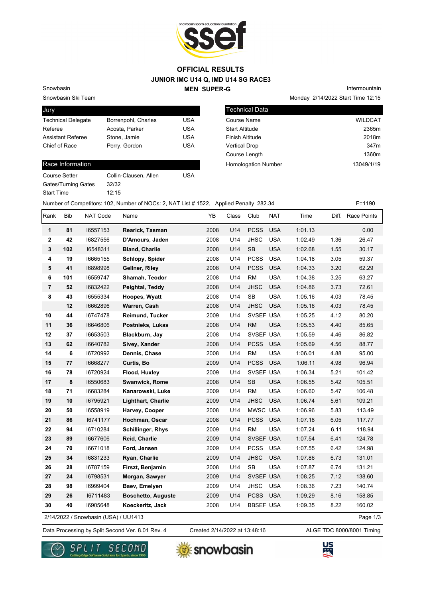

## **JUNIOR IMC U14 Q, IMD U14 SG RACE3 MEN SUPER-G OFFICIAL RESULTS**

Snowbasin

Snowbasin Ski Team

| <b>Jury</b>               |                     |            |
|---------------------------|---------------------|------------|
| <b>Technical Delegate</b> | Borrenpohl, Charles | USA        |
| Referee                   | Acosta, Parker      | <b>USA</b> |
| <b>Assistant Referee</b>  | Stone, Jamie        | <b>USA</b> |
| Chief of Race             | Perry, Gordon       | USA        |
|                           |                     |            |

## Race Information

Course Setter Collin-Clausen, Allen USA Gates/Turning Gates 32/32 Start Time 12:15

Monday 2/14/2022 Start Time 12:15

Intermountain

| Technical Data             |                  |
|----------------------------|------------------|
| Course Name                | <b>WILDCAT</b>   |
| <b>Start Altitude</b>      | 2365m            |
| Finish Altitude            | 2018m            |
| <b>Vertical Drop</b>       | 347 <sub>m</sub> |
| Course Length              | 1360m            |
| <b>Homologation Number</b> | 13049/1/19       |

Number of Competitors: 102, Number of NOCs: 2, NAT List # 1522, Applied Penalty 282.34 F=1190

| Rank           | Bib                                              | NAT Code | Name                      | YB   | Class | Club             | <b>NAT</b> | Time    |      | Diff. Race Points |  |
|----------------|--------------------------------------------------|----------|---------------------------|------|-------|------------------|------------|---------|------|-------------------|--|
| 1              | 81                                               | 16557153 | Rearick, Tasman           | 2008 | U14   | <b>PCSS</b>      | <b>USA</b> | 1:01.13 |      | 0.00              |  |
| $\mathbf{2}$   | 42                                               | 16827556 | D'Amours, Jaden           | 2008 | U14   | <b>JHSC</b>      | <b>USA</b> | 1:02.49 | 1.36 | 26.47             |  |
| 3              | 102                                              | 16548311 | <b>Bland, Charlie</b>     | 2008 | U14   | <b>SB</b>        | <b>USA</b> | 1:02.68 | 1.55 | 30.17             |  |
| 4              | 19                                               | 16665155 | Schlopy, Spider           | 2008 | U14   | <b>PCSS</b>      | <b>USA</b> | 1:04.18 | 3.05 | 59.37             |  |
| 5              | 41                                               | 16898998 | Gellner, Riley            | 2008 | U14   | <b>PCSS</b>      | <b>USA</b> | 1:04.33 | 3.20 | 62.29             |  |
| 6              | 101                                              | 16559747 | Shamah, Teodor            | 2008 | U14   | <b>RM</b>        | <b>USA</b> | 1:04.38 | 3.25 | 63.27             |  |
| $\overline{7}$ | 52                                               | 16832422 | Peightal, Teddy           | 2008 | U14   | <b>JHSC</b>      | <b>USA</b> | 1:04.86 | 3.73 | 72.61             |  |
| 8              | 43                                               | 16555334 | Hoopes, Wyatt             | 2008 | U14   | <b>SB</b>        | <b>USA</b> | 1:05.16 | 4.03 | 78.45             |  |
|                | 12                                               | 16662896 | Warren, Cash              | 2008 | U14   | <b>JHSC</b>      | <b>USA</b> | 1:05.16 | 4.03 | 78.45             |  |
| 10             | 44                                               | 16747478 | Reimund, Tucker           | 2009 | U14   | SVSEF USA        |            | 1:05.25 | 4.12 | 80.20             |  |
| 11             | 36                                               | 16646806 | Postnieks, Lukas          | 2008 | U14   | <b>RM</b>        | <b>USA</b> | 1:05.53 | 4.40 | 85.65             |  |
| 12             | 37                                               | 16653503 | Blackburn, Jay            | 2008 | U14   | SVSEF USA        |            | 1:05.59 | 4.46 | 86.82             |  |
| 13             | 62                                               | 16640782 | Sivey, Xander             | 2008 | U14   | <b>PCSS</b>      | <b>USA</b> | 1:05.69 | 4.56 | 88.77             |  |
| 14             | 6                                                | 16720992 | Dennis, Chase             | 2008 | U14   | <b>RM</b>        | <b>USA</b> | 1:06.01 | 4.88 | 95.00             |  |
| 15             | 77                                               | 16668277 | Curtis, Bo                | 2009 | U14   | <b>PCSS</b>      | <b>USA</b> | 1:06.11 | 4.98 | 96.94             |  |
| 16             | 78                                               | 16720924 | Flood, Huxley             | 2009 | U14   | SVSEF USA        |            | 1:06.34 | 5.21 | 101.42            |  |
| 17             | 8                                                | 16550683 | Swanwick, Rome            | 2008 | U14   | <b>SB</b>        | <b>USA</b> | 1:06.55 | 5.42 | 105.51            |  |
| 18             | 71                                               | 16683284 | Kanarowski, Luke          | 2009 | U14   | <b>RM</b>        | <b>USA</b> | 1:06.60 | 5.47 | 106.48            |  |
| 19             | 10                                               | 16795921 | <b>Lighthart, Charlie</b> | 2009 | U14   | <b>JHSC</b>      | <b>USA</b> | 1:06.74 | 5.61 | 109.21            |  |
| 20             | 50                                               | 16558919 | Harvey, Cooper            | 2008 | U14   | MWSC USA         |            | 1:06.96 | 5.83 | 113.49            |  |
| 21             | 86                                               | 16741177 | Hochman, Oscar            | 2008 | U14   | <b>PCSS</b>      | <b>USA</b> | 1:07.18 | 6.05 | 117.77            |  |
| 22             | 94                                               | 16710284 | <b>Schillinger, Rhys</b>  | 2009 | U14   | <b>RM</b>        | <b>USA</b> | 1:07.24 | 6.11 | 118.94            |  |
| 23             | 89                                               | 16677606 | Reid, Charlie             | 2009 | U14   | SVSEF USA        |            | 1:07.54 | 6.41 | 124.78            |  |
| 24             | 70                                               | 16671018 | Ford, Jensen              | 2009 | U14   | <b>PCSS</b>      | <b>USA</b> | 1:07.55 | 6.42 | 124.98            |  |
| 25             | 34                                               | 16831233 | Ryan, Charlie             | 2009 | U14   | <b>JHSC</b>      | <b>USA</b> | 1:07.86 | 6.73 | 131.01            |  |
| 26             | 28                                               | 16787159 | Firszt, Benjamin          | 2008 | U14   | <b>SB</b>        | <b>USA</b> | 1:07.87 | 6.74 | 131.21            |  |
| 27             | 24                                               | 16798531 | Morgan, Sawyer            | 2009 | U14   | SVSEF USA        |            | 1:08.25 | 7.12 | 138.60            |  |
| 28             | 98                                               | 16999404 | Baev, Emelyen             | 2009 | U14   | <b>JHSC</b>      | <b>USA</b> | 1:08.36 | 7.23 | 140.74            |  |
| 29             | 26                                               | 16711483 | <b>Boschetto, Auguste</b> | 2009 | U14   | <b>PCSS</b>      | <b>USA</b> | 1:09.29 | 8.16 | 158.85            |  |
| 30             | 40                                               | 16905648 | Koeckeritz, Jack          | 2008 | U14   | <b>BBSEF USA</b> |            | 1:09.35 | 8.22 | 160.02            |  |
|                | Page 1/3<br>2/14/2022 / Snowbasin (USA) / UU1413 |          |                           |      |       |                  |            |         |      |                   |  |

2/14/2022 / Snowbasin (USA) / UU1413

Created 2/14/2022 at 13:48:16

Data Processing by Split Second Ver. 8.01 Rev. 4 Created 2/14/2022 at 13:48:16 ALGE TDC 8000/8001 Timing





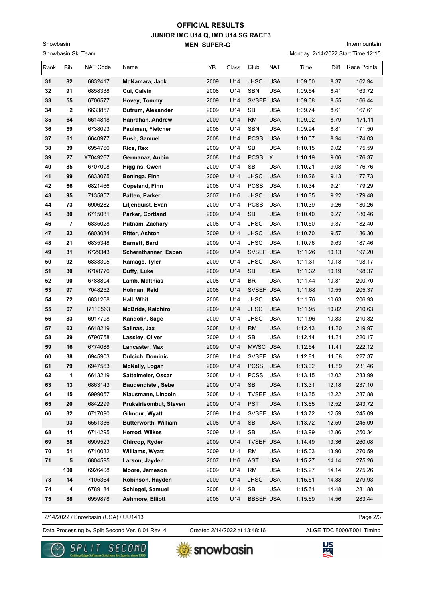## **JUNIOR IMC U14 Q, IMD U14 SG RACE3 MEN SUPER-G OFFICIAL RESULTS**

Snowbasin Ski Team

Snowbasin

Intermountain

Monday 2/14/2022 Start Time 12:15

| Rank | Bib | NAT Code | Name                        | YB   | Class | Club             | NAT        | Time    |       | Diff. Race Points |
|------|-----|----------|-----------------------------|------|-------|------------------|------------|---------|-------|-------------------|
| 31   | 82  | 16832417 | McNamara, Jack              | 2009 | U14   | <b>JHSC</b>      | <b>USA</b> | 1:09.50 | 8.37  | 162.94            |
| 32   | 91  | 16858338 | Cui, Calvin                 | 2008 | U14   | SBN              | <b>USA</b> | 1:09.54 | 8.41  | 163.72            |
| 33   | 55  | 16706577 | Hovey, Tommy                | 2009 | U14   | SVSEF USA        |            | 1:09.68 | 8.55  | 166.44            |
| 34   | 2   | 16633857 | <b>Butrum, Alexander</b>    | 2009 | U14   | SB               | <b>USA</b> | 1:09.74 | 8.61  | 167.61            |
| 35   | 64  | 16614818 | Hanrahan, Andrew            | 2009 | U14   | <b>RM</b>        | <b>USA</b> | 1:09.92 | 8.79  | 171.11            |
| 36   | 59  | 16738093 | Paulman, Fletcher           | 2008 | U14   | <b>SBN</b>       | <b>USA</b> | 1:09.94 | 8.81  | 171.50            |
| 37   | 61  | 16640977 | <b>Bush, Samuel</b>         | 2008 | U14   | <b>PCSS</b>      | <b>USA</b> | 1:10.07 | 8.94  | 174.03            |
| 38   | 39  | 16954766 | Rice, Rex                   | 2009 | U14   | SB               | <b>USA</b> | 1:10.15 | 9.02  | 175.59            |
| 39   | 27  | X7049267 | Germanaz, Aubin             | 2008 | U14   | <b>PCSS</b>      | X          | 1:10.19 | 9.06  | 176.37            |
| 40   | 85  | 16707008 | Higgins, Owen               | 2009 | U14   | <b>SB</b>        | <b>USA</b> | 1:10.21 | 9.08  | 176.76            |
| 41   | 99  | 16833075 | Beninga, Finn               | 2009 | U14   | <b>JHSC</b>      | <b>USA</b> | 1:10.26 | 9.13  | 177.73            |
| 42   | 66  | 16821466 | Copeland, Finn              | 2008 | U14   | <b>PCSS</b>      | <b>USA</b> | 1:10.34 | 9.21  | 179.29            |
| 43   | 95  | 17135857 | Patten, Parker              | 2007 | U16   | <b>JHSC</b>      | <b>USA</b> | 1:10.35 | 9.22  | 179.48            |
| 44   | 73  | 16906282 | Liljenquist, Evan           | 2009 | U14   | <b>PCSS</b>      | <b>USA</b> | 1:10.39 | 9.26  | 180.26            |
| 45   | 80  | 16715081 | Parker, Cortland            | 2009 | U14   | <b>SB</b>        | <b>USA</b> | 1:10.40 | 9.27  | 180.46            |
| 46   | 7   | 16835028 | Putnam, Zachary             | 2008 | U14   | <b>JHSC</b>      | <b>USA</b> | 1:10.50 | 9.37  | 182.40            |
| 47   | 22  | 16803034 | <b>Ritter, Ashton</b>       | 2009 | U14   | <b>JHSC</b>      | <b>USA</b> | 1:10.70 | 9.57  | 186.30            |
| 48   | 21  | 16835348 | Barnett, Bard               | 2009 | U14   | <b>JHSC</b>      | <b>USA</b> | 1:10.76 | 9.63  | 187.46            |
| 49   | 31  | 16729343 | Schernthanner, Espen        | 2009 | U14   | SVSEF USA        |            | 1:11.26 | 10.13 | 197.20            |
| 50   | 92  | 16833305 | Ramage, Tyler               | 2009 | U14   | <b>JHSC</b>      | <b>USA</b> | 1:11.31 | 10.18 | 198.17            |
| 51   | 30  | 16708776 | Duffy, Luke                 | 2009 | U14   | SB               | <b>USA</b> | 1:11.32 | 10.19 | 198.37            |
| 52   | 90  | 16788804 | Lamb, Matthias              | 2008 | U14   | <b>BR</b>        | <b>USA</b> | 1:11.44 | 10.31 | 200.70            |
| 53   | 97  | 17048252 | Holman, Reid                | 2008 | U14   | SVSEF USA        |            | 1:11.68 | 10.55 | 205.37            |
| 54   | 72  | 16831268 | Hall, Whit                  | 2008 | U14   | <b>JHSC</b>      | <b>USA</b> | 1:11.76 | 10.63 | 206.93            |
| 55   | 67  | 17110563 | McBride, Kaichiro           | 2009 | U14   | <b>JHSC</b>      | <b>USA</b> | 1:11.95 | 10.82 | 210.63            |
| 56   | 83  | 16917798 | Kandolin, Sage              | 2009 | U14   | <b>JHSC</b>      | <b>USA</b> | 1:11.96 | 10.83 | 210.82            |
| 57   | 63  | 16618219 | Salinas, Jax                | 2008 | U14   | <b>RM</b>        | <b>USA</b> | 1:12.43 | 11.30 | 219.97            |
| 58   | 29  | 16790758 | Lassley, Oliver             | 2009 | U14   | <b>SB</b>        | <b>USA</b> | 1:12.44 | 11.31 | 220.17            |
| 59   | 16  | 16774088 | Lancaster, Max              | 2009 | U14   | MWSC USA         |            | 1:12.54 | 11.41 | 222.12            |
| 60   | 38  | 16945903 | <b>Dulcich, Dominic</b>     | 2009 | U14   | SVSEF USA        |            | 1:12.81 | 11.68 | 227.37            |
| 61   | 79  | 16947563 | <b>McNally, Logan</b>       | 2009 | U14   | PCSS USA         |            | 1:13.02 | 11.89 | 231.46            |
| 62   | 1   | 16613219 | Sattelmeier, Oscar          | 2008 | U14   | PCSS USA         |            | 1:13.15 | 12.02 | 233.99            |
| 63   | 13  | 16863143 | <b>Baudendistel, Sebe</b>   | 2009 | U14   | <b>SB</b>        | <b>USA</b> | 1:13.31 | 12.18 | 237.10            |
| 64   | 15  | 16999057 | Klausmann, Lincoln          | 2008 | U14   | TVSEF USA        |            | 1:13.35 | 12.22 | 237.88            |
| 65   | 20  | 16842299 | Pruksirisombut, Steven      | 2009 | U14   | <b>PST</b>       | <b>USA</b> | 1:13.65 | 12.52 | 243.72            |
| 66   | 32  | 16717090 | Gilmour, Wyatt              | 2009 | U14   | SVSEF USA        |            | 1:13.72 | 12.59 | 245.09            |
|      | 93  | 16551336 | <b>Butterworth, William</b> | 2008 | U14   | SB               | <b>USA</b> | 1:13.72 | 12.59 | 245.09            |
| 68   | 11  | 16714295 | Herrod, Wilkes              | 2009 | U14   | <b>SB</b>        | <b>USA</b> | 1:13.99 | 12.86 | 250.34            |
| 69   | 58  | 16909523 | Chircop, Ryder              | 2009 | U14   | TVSEF USA        |            | 1:14.49 | 13.36 | 260.08            |
| 70   | 51  | 16710032 | Williams, Wyatt             | 2009 | U14   | <b>RM</b>        | USA        | 1:15.03 | 13.90 | 270.59            |
| 71   | 5   | 16804595 | Larson, Jayden              | 2007 | U16   | <b>AST</b>       | <b>USA</b> | 1:15.27 | 14.14 | 275.26            |
|      | 100 | 16926408 | Moore, Jameson              | 2009 | U14   | <b>RM</b>        | USA        | 1:15.27 | 14.14 | 275.26            |
| 73   | 14  | 17105364 | Robinson, Hayden            | 2009 | U14   | <b>JHSC</b>      | <b>USA</b> | 1:15.51 | 14.38 | 279.93            |
| 74   | 4   | 16789184 | Schlegel, Samuel            | 2008 | U14   | SB               | <b>USA</b> | 1:15.61 | 14.48 | 281.88            |
| 75   | 88  | 16959878 | Ashmore, Elliott            | 2008 | U14   | <b>BBSEF USA</b> |            | 1:15.69 | 14.56 | 283.44            |

2/14/2022 / Snowbasin (USA) / UU1413

Data Processing by Split Second Ver. 8.01 Rev. 4 Created 2/14/2022 at 13:48:16 ALGE TDC 8000/8001 Timing Created 2/14/2022 at 13:48:16

Page 2/3